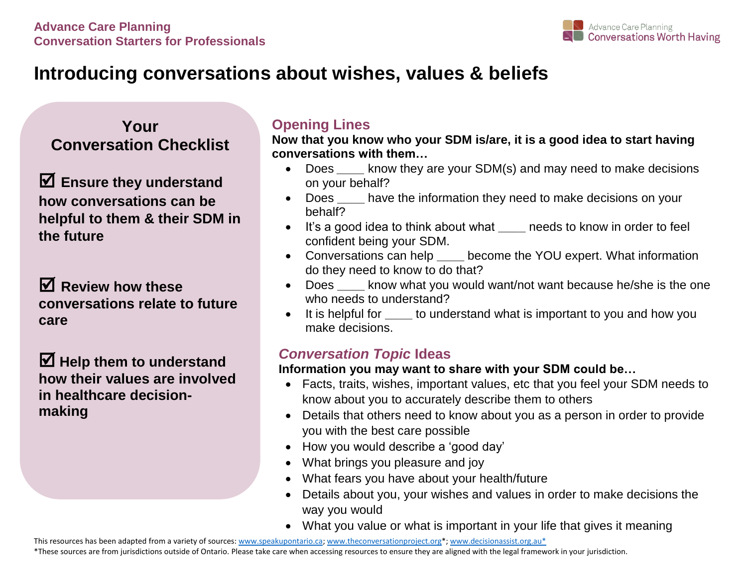

# **Introducing conversations about wishes, values & beliefs**

**Your Conversation Checklist**

 **Ensure they understand how conversations can be helpful to them & their SDM in the future** 

 **Review how these conversations relate to future care**

 **Help them to understand how their values are involved in healthcare decisionmaking**

## **Opening Lines**

**Now that you know who your SDM is/are, it is a good idea to start having conversations with them…**

- Does know they are your SDM(s) and may need to make decisions on your behalf?
- Does **\_\_\_\_** have the information they need to make decisions on your behalf?
- It's a good idea to think about what **\_\_\_\_** needs to know in order to feel confident being your SDM.
- Conversations can help **\_\_\_\_** become the YOU expert. What information do they need to know to do that?
- Does **\_\_\_\_** know what you would want/not want because he/she is the one who needs to understand?
- It is helpful for **\_\_\_\_** to understand what is important to you and how you make decisions.

## *Conversation Topic* **Ideas**

### **Information you may want to share with your SDM could be…**

- Facts, traits, wishes, important values, etc that you feel your SDM needs to know about you to accurately describe them to others
- Details that others need to know about you as a person in order to provide you with the best care possible
- How you would describe a 'good day'
- What brings you pleasure and joy
- What fears you have about your health/future
- Details about you, your wishes and values in order to make decisions the way you would
- What you value or what is important in your life that gives it meaning